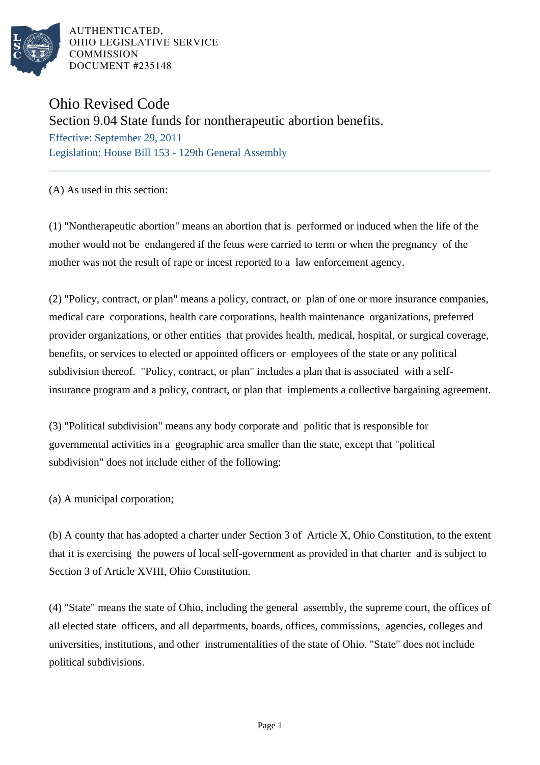

AUTHENTICATED. OHIO LEGISLATIVE SERVICE **COMMISSION** DOCUMENT #235148

## Ohio Revised Code

Section 9.04 State funds for nontherapeutic abortion benefits.

Effective: September 29, 2011 Legislation: House Bill 153 - 129th General Assembly

(A) As used in this section:

(1) "Nontherapeutic abortion" means an abortion that is performed or induced when the life of the mother would not be endangered if the fetus were carried to term or when the pregnancy of the mother was not the result of rape or incest reported to a law enforcement agency.

(2) "Policy, contract, or plan" means a policy, contract, or plan of one or more insurance companies, medical care corporations, health care corporations, health maintenance organizations, preferred provider organizations, or other entities that provides health, medical, hospital, or surgical coverage, benefits, or services to elected or appointed officers or employees of the state or any political subdivision thereof. "Policy, contract, or plan" includes a plan that is associated with a selfinsurance program and a policy, contract, or plan that implements a collective bargaining agreement.

(3) "Political subdivision" means any body corporate and politic that is responsible for governmental activities in a geographic area smaller than the state, except that "political subdivision" does not include either of the following:

(a) A municipal corporation;

(b) A county that has adopted a charter under Section 3 of Article X, Ohio Constitution, to the extent that it is exercising the powers of local self-government as provided in that charter and is subject to Section 3 of Article XVIII, Ohio Constitution.

(4) "State" means the state of Ohio, including the general assembly, the supreme court, the offices of all elected state officers, and all departments, boards, offices, commissions, agencies, colleges and universities, institutions, and other instrumentalities of the state of Ohio. "State" does not include political subdivisions.